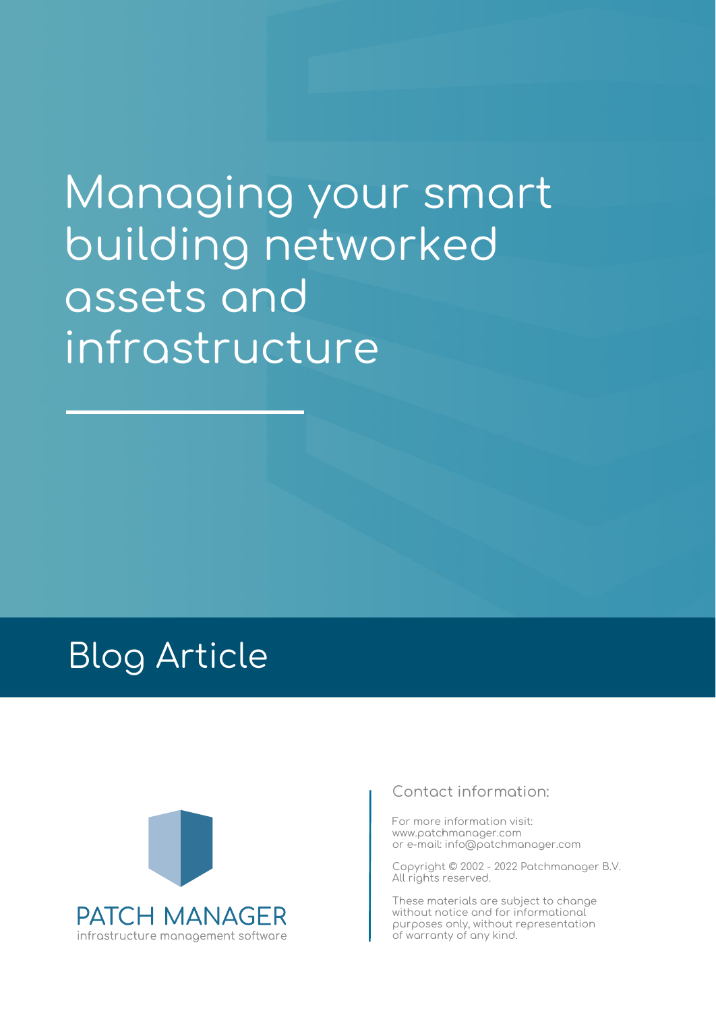# Managing your smart building networked assets and infrastructure

## Blog Article



#### **Contact information:**

For more information visit: www.patchmanager.com or e-mail: info@patchmanager.com

Copyright © 2002 - 2022 Patchmanager B.V. All rights reserved.

These materials are subject to change without notice and for informational purposes only, without representation of warranty of any kind.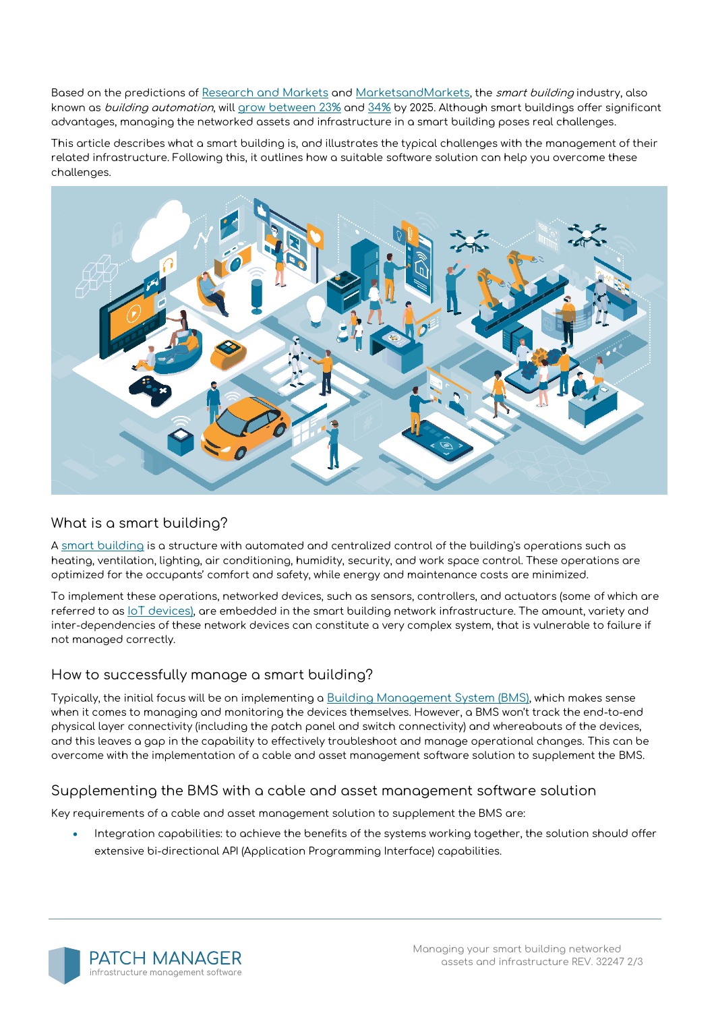Based on the predictions of [Research and Markets](https://www.researchandmarkets.com/) and [MarketsandMarkets](https://www.marketsandmarkets.com/), the *smart building* industry, also known as building automation, will [grow between 23%](https://www.globenewswire.com/news-release/2020/01/21/1973111/0/en/Smart-Building-Market-Growth-Trends-Forecasts-to-2025.html) and [34%](https://www.marketsandmarkets.com/Market-Reports/smart-building-market-1169.html) by 2025. Although smart buildings offer significant advantages, managing the networked assets and infrastructure in a smart building poses real challenges.

This article describes what a smart building is, and illustrates the typical challenges with the management of their related infrastructure. Following this, it outlines how a suitable software solution can help you overcome these challenges.



#### **What is a smart building?**

A [smart building](https://www.rcrwireless.com/20160725/business/smart-building-tag31-tag99) is a structure with automated and centralized control of the building's operations such as heating, ventilation, lighting, air conditioning, humidity, security, and work space control. These operations are optimized for the occupants' comfort and safety, while energy and maintenance costs are minimized.

To implement these operations, networked devices, such as sensors, controllers, and actuators (some of which are referred to as [IoT devices\)](https://patchmanager.com/blog/the-rise-of-iot-why-you-need-software-to-manage-your-office-network-infrastructure/), are embedded in the smart building network infrastructure. The amount, variety and inter-dependencies of these network devices can constitute a very complex system, that is vulnerable to failure if not managed correctly.

#### **How to successfully manage a smart building?**

Typically, the initial focus will be on implementing a [Building Management System \(BMS\)](https://wattsense.com/bms), which makes sense when it comes to managing and monitoring the devices themselves. However, a BMS won't track the end-to-end physical layer connectivity (including the patch panel and switch connectivity) and whereabouts of the devices, and this leaves a gap in the capability to effectively troubleshoot and manage operational changes. This can be overcome with the implementation of a cable and asset management software solution to supplement the BMS.

#### **Supplementing the BMS with a cable and asset management software solution**

Key requirements of a cable and asset management solution to supplement the BMS are:

• **Integration capabilities:** to achieve the benefits of the systems working together, the solution should offer extensive bi-directional API (Application Programming Interface) capabilities.